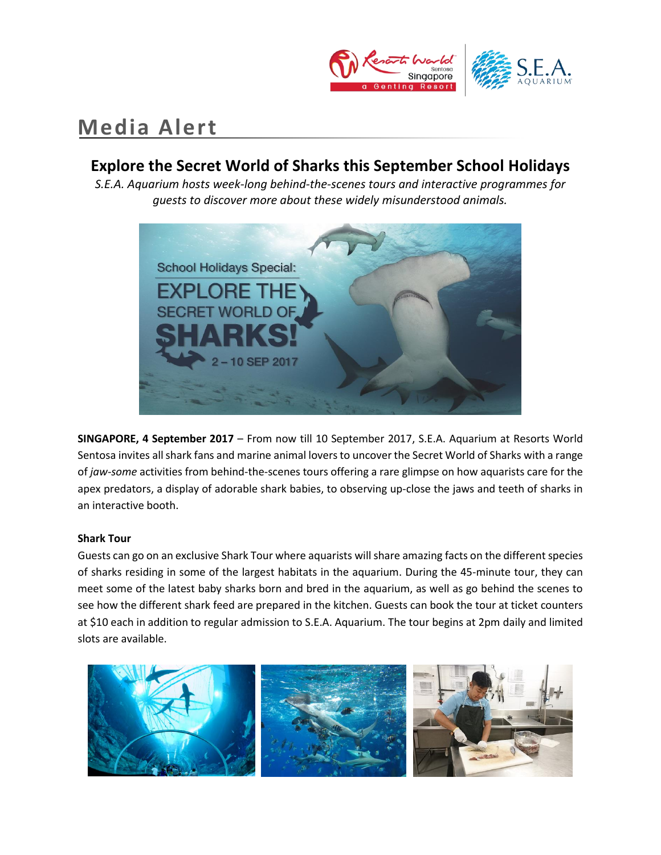

# **Media Alert**

# **Explore the Secret World of Sharks this September School Holidays**

*S.E.A. Aquarium hosts week-long behind-the-scenes tours and interactive programmes for guests to discover more about these widely misunderstood animals.*



**SINGAPORE, 4 September 2017** – From now till 10 September 2017, S.E.A. Aquarium at Resorts World Sentosa invites all shark fans and marine animal lovers to uncover the Secret World of Sharks with a range of *jaw-some* activities from behind-the-scenes tours offering a rare glimpse on how aquarists care for the apex predators, a display of adorable shark babies, to observing up-close the jaws and teeth of sharks in an interactive booth.

# **Shark Tour**

Guests can go on an exclusive Shark Tour where aquarists will share amazing facts on the different species of sharks residing in some of the largest habitats in the aquarium. During the 45-minute tour, they can meet some of the latest baby sharks born and bred in the aquarium, as well as go behind the scenes to see how the different shark feed are prepared in the kitchen. Guests can book the tour at ticket counters at \$10 each in addition to regular admission to S.E.A. Aquarium. The tour begins at 2pm daily and limited slots are available.

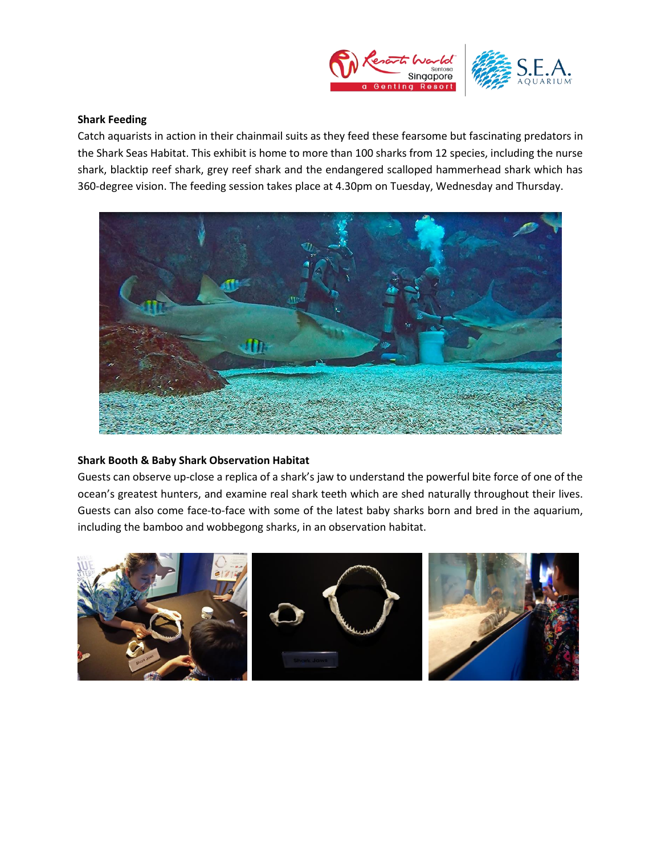

## **Shark Feeding**

Catch aquarists in action in their chainmail suits as they feed these fearsome but fascinating predators in the Shark Seas Habitat. This exhibit is home to more than 100 sharks from 12 species, including the nurse shark, blacktip reef shark, grey reef shark and the endangered scalloped hammerhead shark which has 360-degree vision. The feeding session takes place at 4.30pm on Tuesday, Wednesday and Thursday.



# **Shark Booth & Baby Shark Observation Habitat**

Guests can observe up-close a replica of a shark's jaw to understand the powerful bite force of one of the ocean's greatest hunters, and examine real shark teeth which are shed naturally throughout their lives. Guests can also come face-to-face with some of the latest baby sharks born and bred in the aquarium, including the bamboo and wobbegong sharks, in an observation habitat.

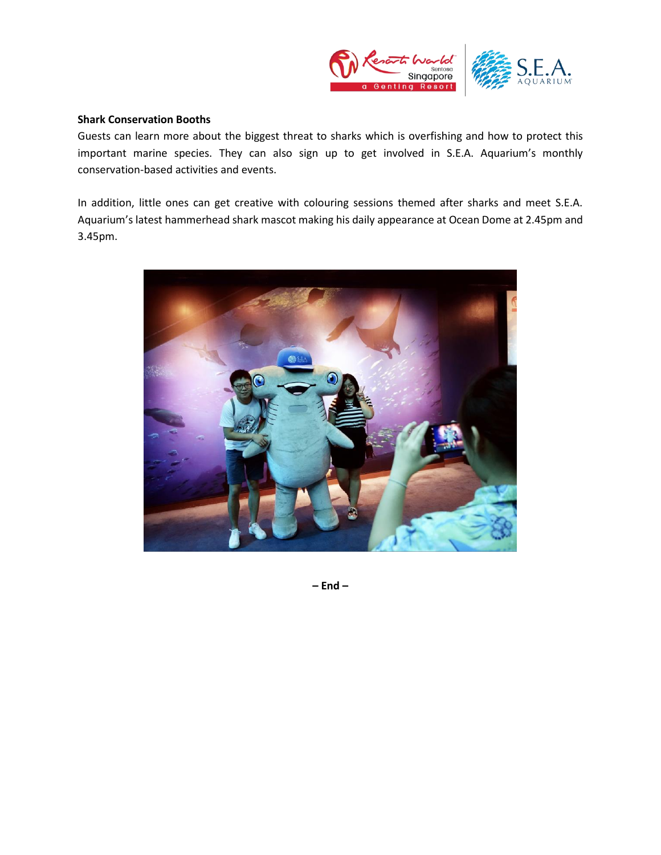

### **Shark Conservation Booths**

Guests can learn more about the biggest threat to sharks which is overfishing and how to protect this important marine species. They can also sign up to get involved in S.E.A. Aquarium's monthly conservation-based activities and events.

In addition, little ones can get creative with colouring sessions themed after sharks and meet S.E.A. Aquarium's latest hammerhead shark mascot making his daily appearance at Ocean Dome at 2.45pm and 3.45pm.



**– End –**